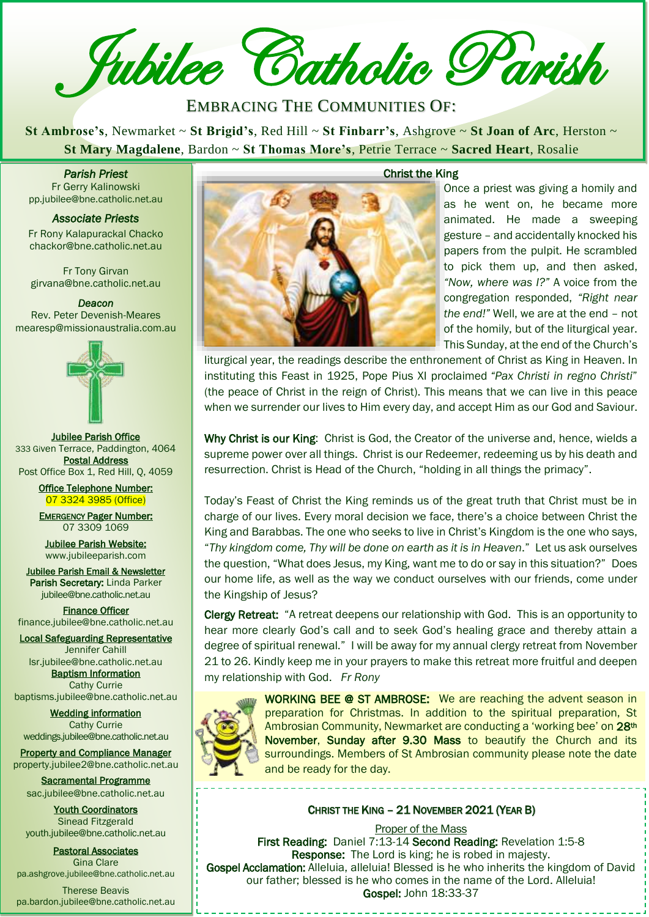Jubilee Catholic Parish

# EMBRACING THE COMMUNITIES OF:

**St Ambrose's**, Newmarket ~ **St Brigid's**, Red Hill ~ **St Finbarr's**, Ashgrove ~ **St Joan of Arc**, Herston ~ **St Mary Magdalene**, Bardon ~ **St Thomas More's**, Petrie Terrace ~ **Sacred Heart**, Rosalie

*Parish Priest*  Fr Gerry Kalinowski pp.jubilee@bne.catholic.net.au

*Associate Priests* 

Fr Rony Kalapurackal Chacko chackor@bne.catholic.net.au

Fr Tony Girvan girvana@bne.catholic.net.au

*Deacon*  Rev. Peter Devenish-Meares mearesp@missionaustralia.com.au



Jubilee Parish Office 333 Given Terrace, Paddington, 4064 Postal Address Post Office Box 1, Red Hill, Q, 4059

> Office Telephone Number: 07 3324 3985 (Office)

> EMERGENCY Pager Number: 07 3309 1069

Jubilee Parish Website: [www.jubileeparish.com](http://www.jubileeparish.com/)

Jubilee Parish Email & Newsletter Parish Secretary: Linda Parker [jubilee@bne.catholic.net.au](mailto:jubilee@bne.catholic.net.au)

Finance Officer [finance.jubilee@bne.catholic.net.au](mailto:finance.jubilee@bne.catholic.net.au)

Local Safeguarding Representative Jennifer Cahill

[lsr.jubilee@bne.catholic.net.au](mailto:lsr.jubilee@bne.catholic.net.au) **Baptism Information** 

Cathy Currie [baptisms.jubilee@bne.catholic.net.au](mailto:baptisms.jubilee@bne.catholic.net.au)

Wedding information Cathy Currie [weddings.jubilee@bne.catholic.net.au](mailto:weddings.jubilee@bne.catholic.net.au)

Property and Compliance Manager property.jubilee2@bne.catholic.net.au

Sacramental Programme [sac.jubilee@bne.catholic.net.au](mailto:sac.jubilee@bne.catholic.net.au)

Youth Coordinators Sinead Fitzgerald [youth.jubilee@bne.catholic.net.au](mailto:youth.jubilee@bne.catholic.net.au)

Pastoral Associates Gina Clare [pa.ashgrove.jubilee@bne.catholic.net.au](mailto:pa.ashgrove.jubilee@bne.catholic.net.au)

Therese Beavis pa.bardon.jubilee@bne.catholic.net.au



Christ the King

Once a priest was giving a homily and as he went on, he became more animated. He made a sweeping gesture – and accidentally knocked his papers from the pulpit. He scrambled to pick them up, and then asked, *"Now, where was I?"* A voice from the congregation responded, *"Right near the end!"* Well, we are at the end – not of the homily, but of the liturgical year. This Sunday, at the end of the Church's

liturgical year, the readings describe the enthronement of Christ as King in Heaven. In instituting this Feast in 1925, Pope Pius XI proclaimed *"Pax Christi in regno Christi*" (the peace of Christ in the reign of Christ). This means that we can live in this peace when we surrender our lives to Him every day, and accept Him as our God and Saviour.

Why Christ is our King: Christ is God, the Creator of the universe and, hence, wields a supreme power over all things. Christ is our Redeemer, redeeming us by his death and resurrection. Christ is Head of the Church, "holding in all things the primacy".

Today's Feast of Christ the King reminds us of the great truth that Christ must be in charge of our lives. Every moral decision we face, there's a choice between Christ the King and Barabbas. The one who seeks to live in Christ's Kingdom is the one who says, "*Thy kingdom come, Thy will be done on earth as it is in Heaven*." Let us ask ourselves the question, "What does Jesus, my King, want me to do or say in this situation?" Does our home life, as well as the way we conduct ourselves with our friends, come under the Kingship of Jesus?

Clergy Retreat: "A retreat deepens our relationship with God. This is an opportunity to hear more clearly God's call and to seek God's healing grace and thereby attain a degree of spiritual renewal." I will be away for my annual clergy retreat from November 21 to 26. Kindly keep me in your prayers to make this retreat more fruitful and deepen my relationship with God. *Fr Rony*



WORKING BEE @ ST AMBROSE: We are reaching the advent season in preparation for Christmas. In addition to the spiritual preparation, St Ambrosian Community, Newmarket are conducting a 'working bee' on 28<sup>th</sup> November, Sunday after 9.30 Mass to beautify the Church and its surroundings. Members of St Ambrosian community please note the date and be ready for the day.

### CHRIST THE KING – 21 NOVEMBER 2021 (YEAR B)

**Proper of the Mass** First Reading: Daniel 7:13-14 Second Reading: Revelation 1:5-8 Response: The Lord is king; he is robed in majesty. Gospel Acclamation: Alleluia, alleluia! Blessed is he who inherits the kingdom of David our father; blessed is he who comes in the name of the Lord. Alleluia! Gospel: John 18:33-37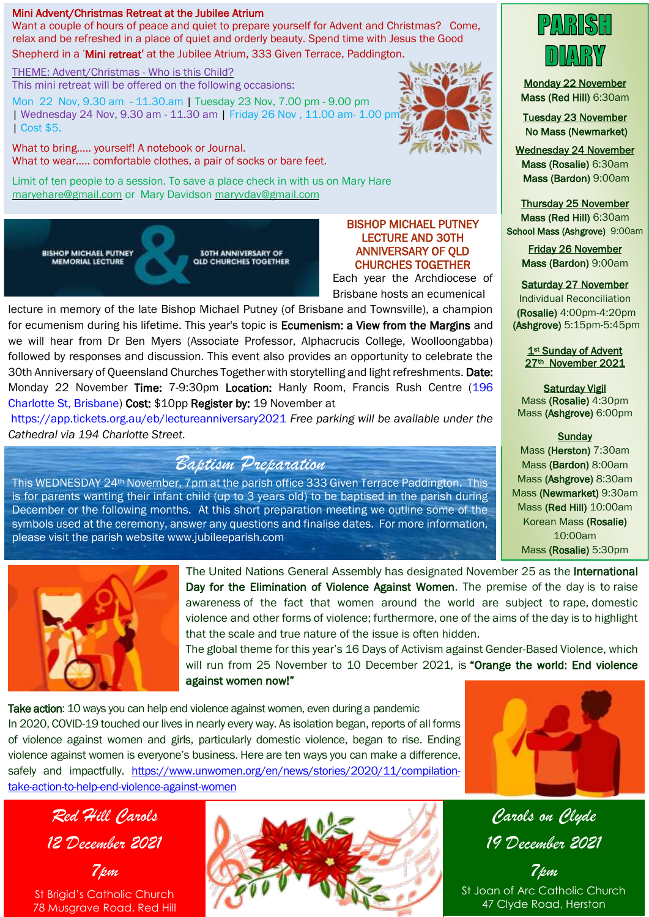#### Mini Advent/Christmas Retreat at the Jubilee Atrium

Want a couple of hours of peace and quiet to prepare yourself for Advent and Christmas? Come, relax and be refreshed in a place of quiet and orderly beauty. Spend time with Jesus the Good Shepherd in a 'Mini retreat' at the Jubilee Atrium, 333 Given Terrace, Paddington.

THEME: Advent/Christmas - Who is this Child?

This mini retreat will be offered on the following occasions:

Mon 22 Nov, 9.30 am - 11.30.am | Tuesday 23 Nov, 7.00 pm - 9.00 pm | Wednesday 24 Nov, 9.30 am - 11.30 am | Friday 26 Nov , 11.00 am- 1.00 pm | Cost \$5.

What to bring….. yourself! A notebook or Journal. What to wear….. comfortable clothes, a pair of socks or bare feet.

Limit of ten people to a session. To save a place check in with us on Mary Hare [maryehare@gmail.com](mailto:maryehare@gmail.com) or Mary Davidson maryvdav@gmail.com

**BISHOP MICHAEL PUTNEY 30TH ANNIVERSARY OF MEMORIAL LECTURE QLD CHURCHES TOGETHER** 

#### BISHOP MICHAEL PUTNEY LECTURE AND 30TH ANNIVERSARY OF QLD CHURCHES TOGETHER

Each year the Archdiocese of Brisbane hosts an ecumenical

lecture in memory of the late Bishop Michael Putney (of Brisbane and Townsville), a champion for ecumenism during his lifetime. This year's topic is Ecumenism: a View from the Margins and we will hear from Dr Ben Myers (Associate Professor, Alphacrucis College, Woolloongabba) followed by responses and discussion. This event also provides an opportunity to celebrate the 30th Anniversary of Queensland Churches Together with storytelling and light refreshments. Date: Monday 22 November Time: 7-9:30pm Location: Hanly Room, Francis Rush Centre (196 Charlotte St, Brisbane) Cost: \$10pp Register by: 19 November at

https://app.tickets.org.au/eb/lectureanniversary2021 *Free parking will be available under the Cathedral via 194 Charlotte Street.*

# *Baptism Preparation*

This WEDNESDAY 24th November, 7pm at the parish office 333 Given Terrace Paddington. This is for parents wanting their infant child (up to 3 years old) to be baptised in the parish during December or the following months. At this short preparation meeting we outline some of the symbols used at the ceremony, answer any questions and finalise dates. For more information, please visit the parish website www.jubileeparish.com



The [United Nations General Assembly](https://en.wikipedia.org/wiki/United_Nations_General_Assembly) has designated [November 25](https://en.wikipedia.org/wiki/November_25) as the International Day for the Elimination of Violence Against Women. The premise of [the day](https://en.wikipedia.org/wiki/List_of_minor_secular_observances#November) is to [raise](https://en.wikipedia.org/wiki/Raising_awareness)  [awareness](https://en.wikipedia.org/wiki/Raising_awareness) of the fact that women around the world are subject to [rape,](https://en.wikipedia.org/wiki/Rape) [domestic](https://en.wikipedia.org/wiki/Domestic_violence)  [violence](https://en.wikipedia.org/wiki/Domestic_violence) and [other forms of violence;](https://en.wikipedia.org/wiki/Violence_against_women) furthermore, one of the aims of the day is to highlight that the scale and true nature of the issue is often hidden.

The global theme for this year's 16 Days of Activism against Gender-Based Violence, which will run from 25 November to 10 December 2021, is "Orange the world: End violence against women now!"

[Take action: 10 ways you can help end violence against women, even during a pandemic](https://www.unwomen.org/en/news/stories/2020/11/compilation-take-action-to-help-end-violence-against-women) In 2020, COVID-19 touched our lives in nearly every way. As isolation began, reports of all forms of violence against women and girls, particularly domestic violence, began to rise. Ending violence against women is everyone's business. [Here](https://www.unwomen.org/en/news/stories/2020/11/compilation-take-action-to-help-end-violence-against-women) are ten ways you can make a difference, safely and impactfully. [https://www.unwomen.org/en/news/stories/2020/11/compilation](https://www.unwomen.org/en/news/stories/2020/11/compilation-take-action-to-help-end-violence-against-women)[take-action-to-help-end-violence-against-women](https://www.unwomen.org/en/news/stories/2020/11/compilation-take-action-to-help-end-violence-against-women) 

*Red Hill Carols 12 December 2021*

*7pm* St Brigid's Catholic Church 78 Musgrave Road, Red Hill





*Carols on Clyde 19 December 2021*

*7pm* St Joan of Arc Catholic Church 47 Clyde Road, Herston



Monday 22 November Mass (Red Hill) 6:30am

Tuesday 23 November No Mass (Newmarket)

Wednesday 24 November Mass (Rosalie) 6:30am Mass (Bardon) 9:00am

Thursday 25 November Mass (Red Hill) 6:30am School Mass (Ashgrove) 9:00am

> Friday 26 November Mass (Bardon) 9:00am

# Saturday 27 November

Individual Reconciliation (Rosalie) 4:00pm-4:20pm (Ashgrove) 5:15pm-5:45pm

1<sup>st</sup> Sunday of Advent 27th November 2021

Saturday Vigil Mass (Rosalie) 4:30pm Mass (Ashgrove) 6:00pm

**Sunday** 

Mass (Herston) 7:30am Mass (Bardon) 8:00am Mass (Ashgrove) 8:30am Mass (Newmarket) 9:30am Mass (Red Hill) 10:00am Korean Mass (Rosalie) 10:00am

Mass (Rosalie) 5:30pm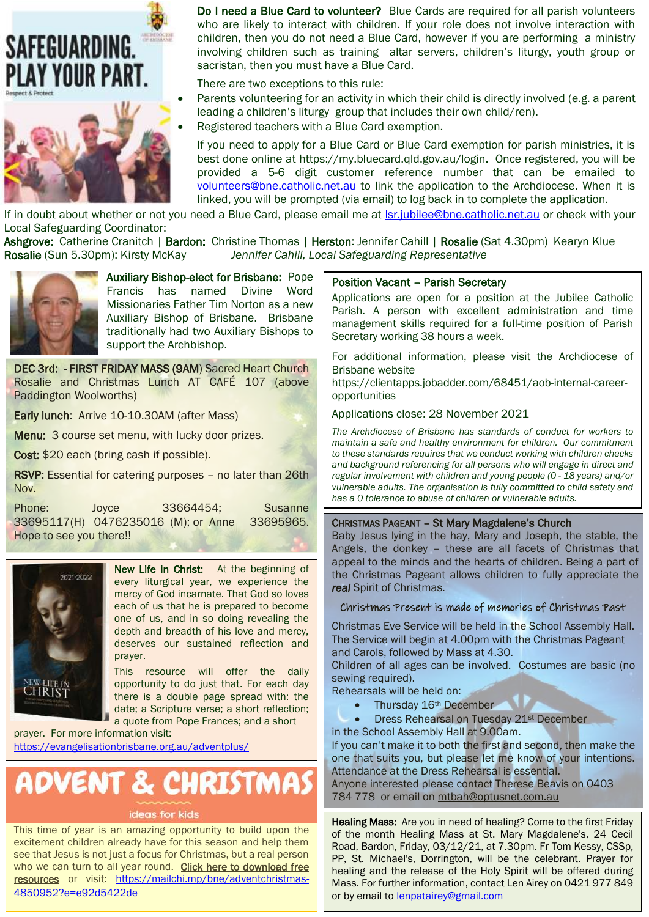



Do I need a Blue Card to volunteer? Blue Cards are required for all parish volunteers who are likely to interact with children. If your role does not involve interaction with children, then you do not need a Blue Card, however if you are performing a ministry involving children such as training altar servers, children's liturgy, youth group or sacristan, then you must have a Blue Card.

There are two exceptions to this rule:

- Parents volunteering for an activity in which their child is directly involved (e.g. a parent leading a children's liturgy group that includes their own child/ren).
- Registered teachers with a Blue Card exemption.

If you need to apply for a Blue Card or Blue Card exemption for parish ministries, it is best done online at [https://my.bluecard.qld.gov.au/login.](https://my.bluecard.qld.gov.au/login.O) Once registered, you will be provided a 5-6 digit customer reference number that can be emailed to [volunteers@bne.catholic.net.au](mailto:volunteers@bne.catholic.net.au) to link the application to the Archdiocese. When it is linked, you will be prompted (via email) to log back in to complete the application.

If in doubt about whether or not you need a Blue Card, please email me at [lsr.jubilee@bne.catholic.net.au](mailto:lsr.jubilee@bne.catholic.net.au) or check with your Local Safeguarding Coordinator:

*.*

Ashgrove: Catherine Cranitch | Bardon: Christine Thomas | Herston: Jennifer Cahill | Rosalie (Sat 4.30pm) Kearyn Klue Rosalie (Sun 5.30pm): Kirsty McKay *Jennifer Cahill, Local Safeguarding Representative*



Auxiliary Bishop-elect for Brisbane: Pope Francis has named Divine Word Missionaries Father Tim Norton as a new Auxiliary Bishop of Brisbane. Brisbane traditionally had two Auxiliary Bishops to support the Archbishop.

DEC 3rd: - FIRST FRIDAY MASS (9AM) Sacred Heart Church Rosalie and Christmas Lunch AT CAFÉ 107 (above Paddington Woolworths)

Early lunch: Arrive 10-10.30AM (after Mass)

Menu: 3 course set menu, with lucky door prizes.

Cost: \$20 each (bring cash if possible).

RSVP: Essential for catering purposes – no later than 26th Nov.

Phone: Joyce 33664454; Susanne 33695117(H) 0476235016 (M); or Anne 33695965. Hope to see you there!!



New Life in Christ: At the beginning of every liturgical year, we experience the mercy of God incarnate. That God so loves each of us that he is prepared to become one of us, and in so doing revealing the depth and breadth of his love and mercy, deserves our sustained reflection and prayer.

This resource will offer the daily opportunity to do just that. For each day there is a double page spread with: the date; a Scripture verse; a short reflection; a quote from Pope Frances; and a short

prayer. For more information visit: <https://evangelisationbrisbane.org.au/adventplus/>

# **ADVENT & CHRISTMAS**

#### ideas for kids

This time of year is an amazing opportunity to build upon the excitement children already have for this season and help them see that Jesus is not just a focus for Christmas, but a real person who we can turn to all year round. Click here to download free [resources](https://mailchi.mp/bne/adventchristmas-4850952?e=e92d5422de) or visit: [https://mailchi.mp/bne/adventchristmas-](https://mailchi.mp/bne/adventchristmas-4850952?e=e92d5422de)[4850952?e=e92d5422de](https://mailchi.mp/bne/adventchristmas-4850952?e=e92d5422de)

#### Position Vacant – Parish Secretary

Applications are open for a position at the Jubilee Catholic Parish. A person with excellent administration and time management skills required for a full-time position of Parish Secretary working 38 hours a week.

For additional information, please visit the Archdiocese of Brisbane website

https://clientapps.jobadder.com/68451/aob-internal-careeropportunities

Applications close: 28 November 2021

*The Archdiocese of Brisbane has standards of conduct for workers to maintain a safe and healthy environment for children. Our commitment to these standards requires that we conduct working with children checks and background referencing for all persons who will engage in direct and regular involvement with children and young people (0 - 18 years) and/or vulnerable adults. The organisation is fully committed to child safety and has a 0 tolerance to abuse of children or vulnerable adults.*

#### CHRISTMAS PAGEANT – St Mary Magdalene's Church

Baby Jesus lying in the hay, Mary and Joseph, the stable, the Angels, the donkey – these are all facets of Christmas that appeal to the minds and the hearts of children. Being a part of the Christmas Pageant allows children to fully appreciate the *real* Spirit of Christmas.

#### Christmas Present is made of memories of Christmas Past

Christmas Eve Service will be held in the School Assembly Hall. The Service will begin at 4.00pm with the Christmas Pageant and Carols, followed by Mass at 4.30.

Children of all ages can be involved. Costumes are basic (no sewing required).

Rehearsals will be held on:

- Thursday 16th December
- Dress Rehearsal on Tuesday 21st December
- in the School Assembly Hall at 9.00am.

If you can't make it to both the first and second, then make the one that suits you, but please let me know of your intentions. Attendance at the Dress Rehearsal is essential.

Anyone interested please contact Therese Beavis on 0403 784 778 or email o[n mtbah@optusnet.com.au](mailto:mtbah@optusnet.com.au)

Healing Mass: Are you in need of healing? Come to the first Friday of the month Healing Mass at St. Mary Magdalene's, 24 Cecil Road, Bardon, Friday, 03/12/21, at 7.30pm. Fr Tom Kessy, CSSp, PP, St. Michael's, Dorrington, will be the celebrant. Prayer for healing and the release of the Holy Spirit will be offered during Mass. For further information, contact Len Airey on 0421 977 849 or by email to [lenpatairey@gmail.com](mailto:lenpatairey@gmail.com)